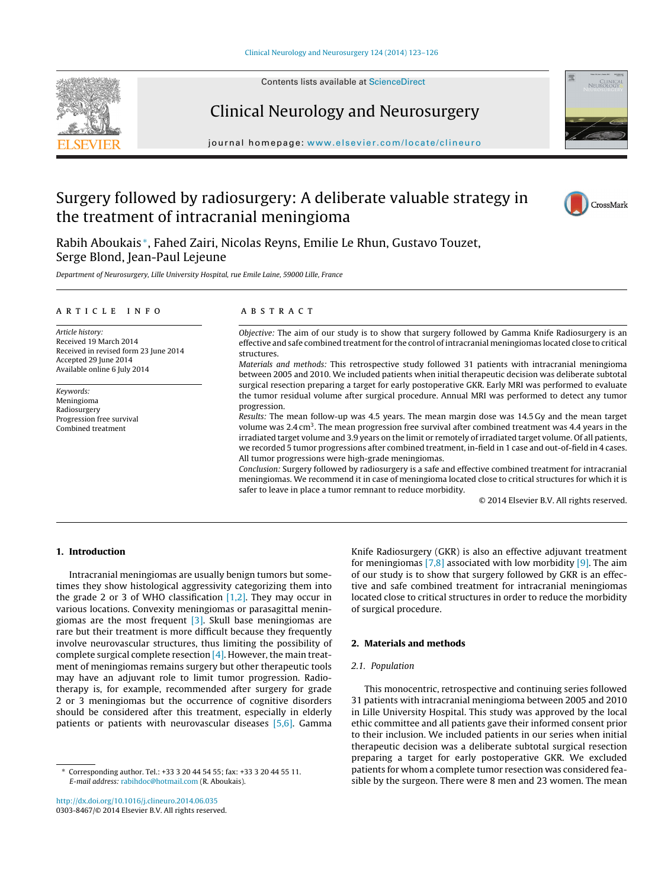

Contents lists available at [ScienceDirect](http://www.sciencedirect.com/science/journal/03038467)

# Clinical Neurology and Neurosurgery



journal homepage: [www.elsevier.com/locate/clineuro](http://www.elsevier.com/locate/clineuro)

# Surgery followed by radiosurgery: A deliberate valuable strategy in the treatment of intracranial meningioma



Rabih Aboukais <sup>∗</sup>, Fahed Zairi, Nicolas Reyns, Emilie Le Rhun, Gustavo Touzet, Serge Blond, Jean-Paul Lejeune

Department of Neurosurgery, Lille University Hospital, rue Emile Laine, 59000 Lille, France

#### article info

Article history: Received 19 March 2014 Received in revised form 23 June 2014 Accepted 29 June 2014 Available online 6 July 2014

Keywords: Meningioma Radiosurgery Progression free survival Combined treatment

### ABSTRACT

Objective: The aim of our study is to show that surgery followed by Gamma Knife Radiosurgery is an effective and safe combined treatment for the control of intracranial meningiomas located close to critical structures.

Materials and methods: This retrospective study followed 31 patients with intracranial meningioma between 2005 and 2010. We included patients when initial therapeutic decision was deliberate subtotal surgical resection preparing a target for early postoperative GKR. Early MRI was performed to evaluate the tumor residual volume after surgical procedure. Annual MRI was performed to detect any tumor progression.

Results: The mean follow-up was 4.5 years. The mean margin dose was 14.5 Gy and the mean target volume was  $2.4 \text{ cm}^3$ . The mean progression free survival after combined treatment was  $4.4$  years in the irradiated target volume and 3.9 years on the limit or remotely of irradiated target volume. Of all patients, we recorded 5 tumor progressions after combined treatment, in-field in 1 case and out-of-field in 4 cases. All tumor progressions were high-grade meningiomas.

Conclusion: Surgery followed by radiosurgery is a safe and effective combined treatment for intracranial meningiomas. We recommend it in case of meningioma located close to critical structures for which it is safer to leave in place a tumor remnant to reduce morbidity.

© 2014 Elsevier B.V. All rights reserved.

## **1. Introduction**

Intracranial meningiomas are usually benign tumors but sometimes they show histological aggressivity categorizing them into the grade 2 or 3 of WHO classification  $[1,2]$ . They may occur in various locations. Convexity meningiomas or parasagittal meningiomas are the most frequent  $[3]$ . Skull base meningiomas are rare but their treatment is more difficult because they frequently involve neurovascular structures, thus limiting the possibility of complete surgical complete resection [\[4\]. H](#page-3-0)owever, the main treatment of meningiomas remains surgery but other therapeutic tools may have an adjuvant role to limit tumor progression. Radiotherapy is, for example, recommended after surgery for grade 2 or 3 meningiomas but the occurrence of cognitive disorders should be considered after this treatment, especially in elderly patients or patients with neurovascular diseases [\[5,6\].](#page-3-0) Gamma

∗ Corresponding author. Tel.: +33 3 20 44 54 55; fax: +33 3 20 44 55 11. E-mail address: [rabihdoc@hotmail.com](mailto:rabihdoc@hotmail.com) (R. Aboukais).

Knife Radiosurgery (GKR) is also an effective adjuvant treatment for meningiomas  $[7,8]$  associated with low morbidity  $[9]$ . The aim of our study is to show that surgery followed by GKR is an effective and safe combined treatment for intracranial meningiomas located close to critical structures in order to reduce the morbidity of surgical procedure.

## **2. Materials and methods**

#### 2.1. Population

This monocentric, retrospective and continuing series followed 31 patients with intracranial meningioma between 2005 and 2010 in Lille University Hospital. This study was approved by the local ethic committee and all patients gave their informed consent prior to their inclusion. We included patients in our series when initial therapeutic decision was a deliberate subtotal surgical resection preparing a target for early postoperative GKR. We excluded patients for whom a complete tumor resection was considered feasible by the surgeon. There were 8 men and 23 women. The mean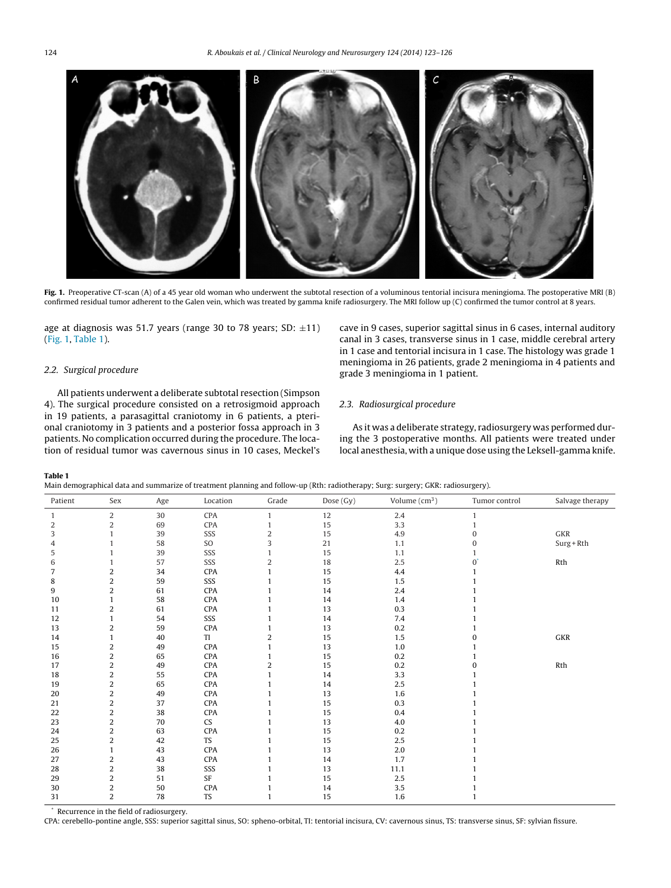

**Fig. 1.** Preoperative CT-scan (A) of a 45 year old woman who underwent the subtotal resection of a voluminous tentorial incisura meningioma. The postoperative MRI (B) confirmed residual tumor adherent to the Galen vein, which was treated by gamma knife radiosurgery. The MRI follow up (C) confirmed the tumor control at 8 years.

age at diagnosis was 51.7 years (range 30 to 78 years; SD:  $\pm$ 11) (Fig. 1, Table 1).

#### 2.2. Surgical procedure

All patients underwent a deliberate subtotal resection (Simpson 4). The surgical procedure consisted on a retrosigmoid approach in 19 patients, a parasagittal craniotomy in 6 patients, a pterional craniotomy in 3 patients and a posterior fossa approach in 3 patients. No complication occurred during the procedure. The location of residual tumor was cavernous sinus in 10 cases, Meckel's cave in 9 cases, superior sagittal sinus in 6 cases, internal auditory canal in 3 cases, transverse sinus in 1 case, middle cerebral artery in 1 case and tentorial incisura in 1 case. The histology was grade 1 meningioma in 26 patients, grade 2 meningioma in 4 patients and grade 3 meningioma in 1 patient.

# 2.3. Radiosurgical procedure

As it was a deliberate strategy, radiosurgery was performed during the 3 postoperative months. All patients were treated under local anesthesia, with a unique dose using the Leksell-gamma knife.

#### **Table 1**

Main demographical data and summarize of treatment planning and follow-up (Rth: radiotherapy; Surg: surgery; GKR: radiosurgery).

| Patient | Sex            | Age | Location  | Grade | Dose (Gy) | Volume $(cm3)$ | Tumor control | Salvage therapy |
|---------|----------------|-----|-----------|-------|-----------|----------------|---------------|-----------------|
|         | 2              | 30  | CPA       |       | 12        | 2.4            | 1             |                 |
| 2       | 2              | 69  | CPA       |       | 15        | 3.3            |               |                 |
| 3       |                | 39  | SSS       | 2     | 15        | 4.9            | 0             | GKR             |
| 4       |                | 58  | SO        | 3     | 21        | 1.1            | $\Omega$      | $Surg + Rth$    |
| 5       |                | 39  | SSS       |       | 15        | 1.1            |               |                 |
| 6       |                | 57  | SSS       | 2     | 18        | 2.5            | $0^{\prime}$  | Rth             |
| 7       | 2              | 34  | CPA       |       | 15        | 4.4            |               |                 |
| 8       | 2              | 59  | SSS       |       | 15        | 1.5            |               |                 |
| 9       | 2              | 61  | CPA       |       | 14        | 2.4            |               |                 |
| 10      |                | 58  | CPA       |       | 14        | 1.4            |               |                 |
| 11      | 2              | 61  | CPA       |       | 13        | 0.3            |               |                 |
| 12      |                | 54  | SSS       |       | 14        | 7.4            |               |                 |
| 13      | 2              | 59  | CPA       |       | 13        | 0.2            |               |                 |
| 14      |                | 40  | TI        | 2     | 15        | 1.5            |               | ${\sf GKR}$     |
| 15      | 2              | 49  | CPA       |       | 13        | 1.0            |               |                 |
| 16      | 2              | 65  | CPA       |       | 15        | 0.2            |               |                 |
| 17      | 2              | 49  | CPA       | 2     | 15        | 0.2            | 0             | Rth             |
| 18      | 2              | 55  | CPA       |       | 14        | 3.3            |               |                 |
| 19      | 2              | 65  | CPA       |       | 14        | 2.5            |               |                 |
| 20      | 2              | 49  | CPA       |       | 13        | 1.6            |               |                 |
| 21      | 2              | 37  | CPA       |       | 15        | 0.3            |               |                 |
| 22      | 2              | 38  | CPA       |       | 15        | 0.4            |               |                 |
| 23      | 2              | 70  | CS        |       | 13        | 4.0            |               |                 |
| 24      | 2              | 63  | CPA       |       | 15        | 0.2            |               |                 |
| 25      | 2              | 42  | TS        |       | 15        | 2.5            |               |                 |
| 26      | 1              | 43  | CPA       |       | 13        | 2.0            |               |                 |
| 27      | 2              | 43  | CPA       |       | 14        | 1.7            |               |                 |
| 28      | 2              | 38  | SSS       |       | 13        | 11.1           |               |                 |
| 29      | 2              | 51  | SF        |       | 15        | 2.5            |               |                 |
| 30      | 2              | 50  | CPA       |       | 14        | 3.5            |               |                 |
| 31      | $\overline{a}$ | 78  | <b>TS</b> | 1     | 15        | 1.6            |               |                 |

Recurrence in the field of radiosurgery.

CPA: cerebello-pontine angle, SSS: superior sagittal sinus, SO: spheno-orbital, TI: tentorial incisura, CV: cavernous sinus, TS: transverse sinus, SF: sylvian fissure.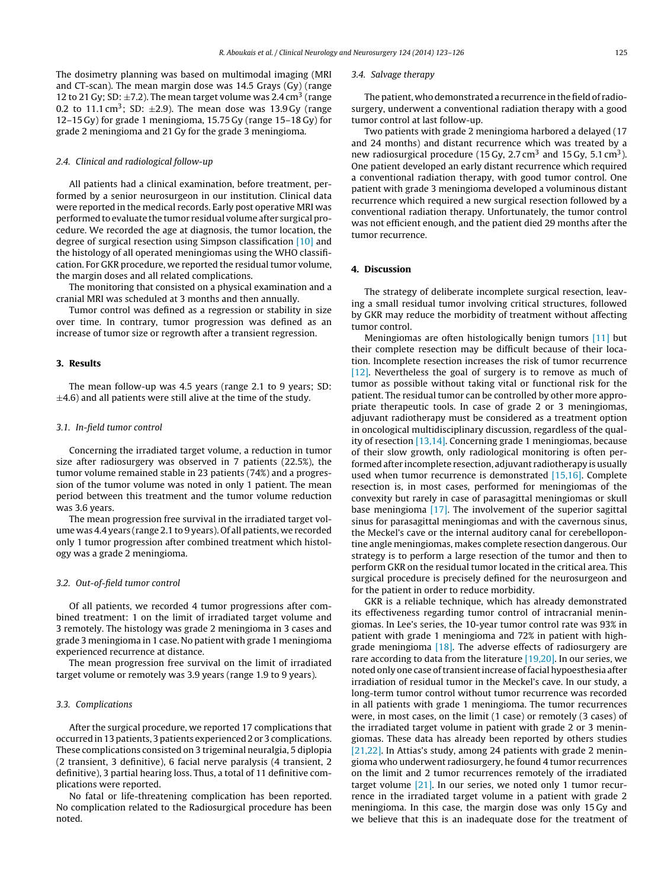The dosimetry planning was based on multimodal imaging (MRI and CT-scan). The mean margin dose was 14.5 Grays (Gy) (range 12 to 21 Gy; SD:  $\pm$ 7.2). The mean target volume was 2.4 cm<sup>3</sup> (range 0.2 to 11.1 cm<sup>3</sup>; SD:  $\pm$ 2.9). The mean dose was 13.9 Gy (range 12–15 Gy) for grade 1 meningioma, 15.75 Gy (range 15–18 Gy) for grade 2 meningioma and 21 Gy for the grade 3 meningioma.

### 2.4. Clinical and radiological follow-up

All patients had a clinical examination, before treatment, performed by a senior neurosurgeon in our institution. Clinical data were reported in the medical records. Early post operative MRI was performed to evaluate the tumor residual volume after surgical procedure. We recorded the age at diagnosis, the tumor location, the degree of surgical resection using Simpson classification [\[10\]](#page-3-0) and the histology of all operated meningiomas using the WHO classification. For GKR procedure, we reported the residual tumor volume, the margin doses and all related complications.

The monitoring that consisted on a physical examination and a cranial MRI was scheduled at 3 months and then annually.

Tumor control was defined as a regression or stability in size over time. In contrary, tumor progression was defined as an increase of tumor size or regrowth after a transient regression.

### **3. Results**

The mean follow-up was 4.5 years (range 2.1 to 9 years; SD:  $\pm$ 4.6) and all patients were still alive at the time of the study.

## 3.1. In-field tumor control

Concerning the irradiated target volume, a reduction in tumor size after radiosurgery was observed in 7 patients (22.5%), the tumor volume remained stable in 23 patients (74%) and a progression of the tumor volume was noted in only 1 patient. The mean period between this treatment and the tumor volume reduction was 3.6 years.

The mean progression free survival in the irradiated target volume was 4.4 years (range 2.1 to 9 years). Of all patients, we recorded only 1 tumor progression after combined treatment which histology was a grade 2 meningioma.

#### 3.2. Out-of-field tumor control

Of all patients, we recorded 4 tumor progressions after combined treatment: 1 on the limit of irradiated target volume and 3 remotely. The histology was grade 2 meningioma in 3 cases and grade 3 meningioma in 1 case. No patient with grade 1 meningioma experienced recurrence at distance.

The mean progression free survival on the limit of irradiated target volume or remotely was 3.9 years (range 1.9 to 9 years).

#### 3.3. Complications

After the surgical procedure, we reported 17 complications that occurred in 13 patients, 3 patients experienced 2 or 3 complications. These complications consisted on 3 trigeminal neuralgia, 5 diplopia (2 transient, 3 definitive), 6 facial nerve paralysis (4 transient, 2 definitive), 3 partial hearing loss. Thus, a total of 11 definitive complications were reported.

No fatal or life-threatening complication has been reported. No complication related to the Radiosurgical procedure has been noted.

#### 3.4. Salvage therapy

The patient, who demonstrated a recurrence in the field of radiosurgery, underwent a conventional radiation therapy with a good tumor control at last follow-up.

Two patients with grade 2 meningioma harbored a delayed (17 and 24 months) and distant recurrence which was treated by a new radiosurgical procedure (15 Gy, 2.7 cm<sup>3</sup> and 15 Gy, 5.1 cm<sup>3</sup>). One patient developed an early distant recurrence which required a conventional radiation therapy, with good tumor control. One patient with grade 3 meningioma developed a voluminous distant recurrence which required a new surgical resection followed by a conventional radiation therapy. Unfortunately, the tumor control was not efficient enough, and the patient died 29 months after the tumor recurrence.

#### **4. Discussion**

The strategy of deliberate incomplete surgical resection, leaving a small residual tumor involving critical structures, followed by GKR may reduce the morbidity of treatment without affecting tumor control.

Meningiomas are often histologically benign tumors [\[11\]](#page-3-0) but their complete resection may be difficult because of their location. Incomplete resection increases the risk of tumor recurrence [\[12\].](#page-3-0) Nevertheless the goal of surgery is to remove as much of tumor as possible without taking vital or functional risk for the patient. The residual tumor can be controlled by other more appropriate therapeutic tools. In case of grade 2 or 3 meningiomas, adjuvant radiotherapy must be considered as a treatment option in oncological multidisciplinary discussion, regardless of the quality of resection [\[13,14\]. C](#page-3-0)oncerning grade 1 meningiomas, because of their slow growth, only radiological monitoring is often performed after incomplete resection, adjuvant radiotherapy is usually used when tumor recurrence is demonstrated [\[15,16\].](#page-3-0) Complete resection is, in most cases, performed for meningiomas of the convexity but rarely in case of parasagittal meningiomas or skull base meningioma [\[17\].](#page-3-0) The involvement of the superior sagittal sinus for parasagittal meningiomas and with the cavernous sinus, the Meckel's cave or the internal auditory canal for cerebellopontine angle meningiomas, makes complete resection dangerous. Our strategy is to perform a large resection of the tumor and then to perform GKR on the residual tumor located in the critical area. This surgical procedure is precisely defined for the neurosurgeon and for the patient in order to reduce morbidity.

GKR is a reliable technique, which has already demonstrated its effectiveness regarding tumor control of intracranial meningiomas. In Lee's series, the 10-year tumor control rate was 93% in patient with grade 1 meningioma and 72% in patient with highgrade meningioma  $[18]$ . The adverse effects of radiosurgery are rare according to data from the literature [\[19,20\]. I](#page-3-0)n our series, we noted only one case of transient increase of facial hypoesthesia after irradiation of residual tumor in the Meckel's cave. In our study, a long-term tumor control without tumor recurrence was recorded in all patients with grade 1 meningioma. The tumor recurrences were, in most cases, on the limit (1 case) or remotely (3 cases) of the irradiated target volume in patient with grade 2 or 3 meningiomas. These data has already been reported by others studies [\[21,22\]. I](#page-3-0)n Attias's study, among 24 patients with grade 2 meningioma who underwent radiosurgery, he found 4 tumor recurrences on the limit and 2 tumor recurrences remotely of the irradiated target volume [\[21\]. I](#page-3-0)n our series, we noted only 1 tumor recurrence in the irradiated target volume in a patient with grade 2 meningioma. In this case, the margin dose was only 15 Gy and we believe that this is an inadequate dose for the treatment of